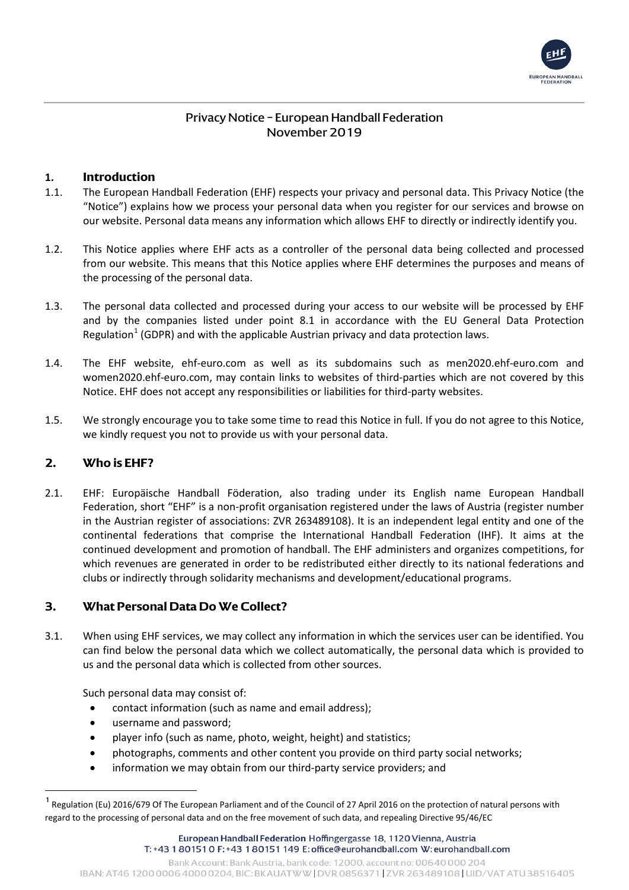

# Privacy Notice – European Handball Federation November 2019

# **1. Introduction**

- 1.1. The European Handball Federation (EHF) respects your privacy and personal data. This Privacy Notice (the "Notice") explains how we process your personal data when you register for our services and browse on our website. Personal data means any information which allows EHF to directly or indirectly identify you.
- 1.2. This Notice applies where EHF acts as a controller of the personal data being collected and processed from our website. This means that this Notice applies where EHF determines the purposes and means of the processing of the personal data.
- 1.3. The personal data collected and processed during your access to our website will be processed by EHF and by the companies listed under point 8.1 in accordance with the EU General Data Protection Regulation<sup>[1](#page-0-0)</sup> (GDPR) and with the applicable Austrian privacy and data protection laws.
- 1.4. The EHF website, ehf-euro.com as well as its subdomains such as men2020.ehf-euro.com and women2020.ehf-euro.com, may contain links to websites of third-parties which are not covered by this Notice. EHF does not accept any responsibilities or liabilities for third-party websites.
- 1.5. We strongly encourage you to take some time to read this Notice in full. If you do not agree to this Notice, we kindly request you not to provide us with your personal data.

## **2. Who is EHF?**

2.1. EHF: Europäische Handball Föderation, also trading under its English name European Handball Federation, short "EHF" is a non-profit organisation registered under the laws of Austria (register number in the Austrian register of associations: ZVR 263489108). It is an independent legal entity and one of the continental federations that comprise the International Handball Federation (IHF). It aims at the continued development and promotion of handball. The EHF administers and organizes competitions, for which revenues are generated in order to be redistributed either directly to its national federations and clubs or indirectly through solidarity mechanisms and development/educational programs.

# **3. What Personal Data Do We Collect?**

3.1. When using EHF services, we may collect any information in which the services user can be identified. You can find below the personal data which we collect automatically, the personal data which is provided to us and the personal data which is collected from other sources.

Such personal data may consist of:

- contact information (such as name and email address);
- username and password;
- player info (such as name, photo, weight, height) and statistics;
- photographs, comments and other content you provide on third party social networks;
- information we may obtain from our third-party service providers; and

<span id="page-0-0"></span>Regulation (Eu) 2016/679 Of The European Parliament and of the Council of 27 April 2016 on the protection of natural persons with regard to the processing of personal data and on the free movement of such data, and repealing Directive 95/46/EC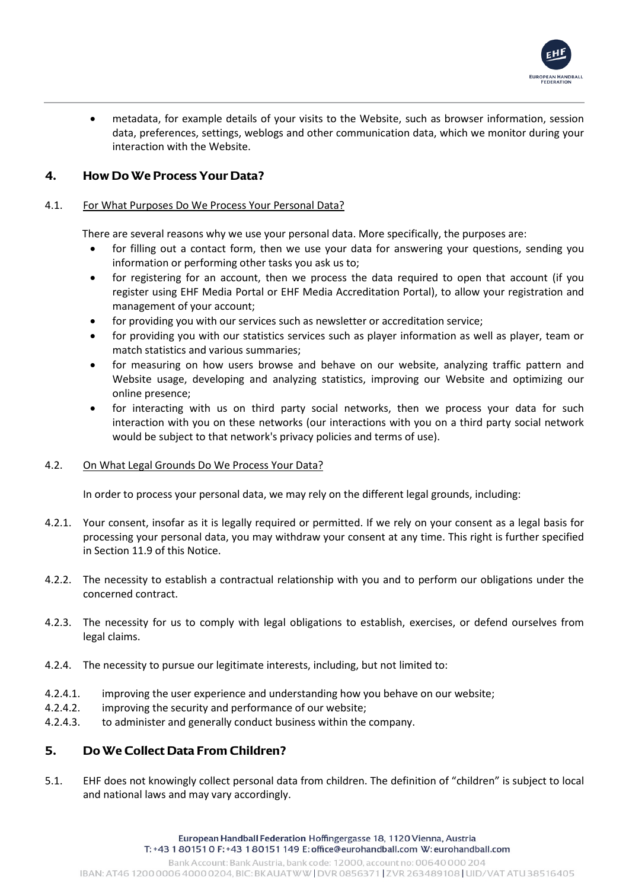

• metadata, for example details of your visits to the Website, such as browser information, session data, preferences, settings, weblogs and other communication data, which we monitor during your interaction with the Website.

# **4. How Do We Process Your Data?**

## 4.1. For What Purposes Do We Process Your Personal Data?

There are several reasons why we use your personal data. More specifically, the purposes are:

- for filling out a contact form, then we use your data for answering your questions, sending you information or performing other tasks you ask us to;
- for registering for an account, then we process the data required to open that account (if you register using EHF Media Portal or EHF Media Accreditation Portal), to allow your registration and management of your account;
- for providing you with our services such as newsletter or accreditation service;
- for providing you with our statistics services such as player information as well as player, team or match statistics and various summaries;
- for measuring on how users browse and behave on our website, analyzing traffic pattern and Website usage, developing and analyzing statistics, improving our Website and optimizing our online presence;
- for interacting with us on third party social networks, then we process your data for such interaction with you on these networks (our interactions with you on a third party social network would be subject to that network's privacy policies and terms of use).

## 4.2. On What Legal Grounds Do We Process Your Data?

In order to process your personal data, we may rely on the different legal grounds, including:

- 4.2.1. Your consent, insofar as it is legally required or permitted. If we rely on your consent as a legal basis for processing your personal data, you may withdraw your consent at any time. This right is further specified in Section 11.9 of this Notice.
- 4.2.2. The necessity to establish a contractual relationship with you and to perform our obligations under the concerned contract.
- 4.2.3. The necessity for us to comply with legal obligations to establish, exercises, or defend ourselves from legal claims.
- 4.2.4. The necessity to pursue our legitimate interests, including, but not limited to:
- 4.2.4.1. improving the user experience and understanding how you behave on our website;
- 4.2.4.2. improving the security and performance of our website;
- 4.2.4.3. to administer and generally conduct business within the company.

# **5. Do We Collect Data From Children?**

5.1. EHF does not knowingly collect personal data from children. The definition of "children" is subject to local and national laws and may vary accordingly.

> European Handball Federation Hoffingergasse 18, 1120 Vienna, Austria T: +43 1 80151 0 F: +43 1 80151 149 E: office@eurohandball.com W: eurohandball.com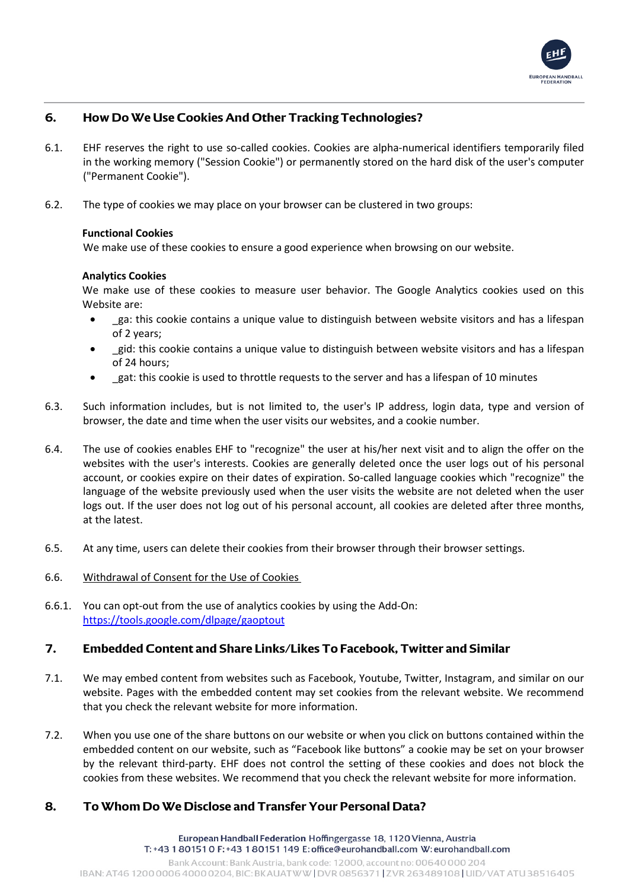

# **6. How Do We Use Cookies And Other Tracking Technologies?**

- 6.1. EHF reserves the right to use so-called cookies. Cookies are alpha-numerical identifiers temporarily filed in the working memory ("Session Cookie") or permanently stored on the hard disk of the user's computer ("Permanent Cookie").
- 6.2. The type of cookies we may place on your browser can be clustered in two groups:

#### **Functional Cookies**

We make use of these cookies to ensure a good experience when browsing on our website.

#### **Analytics Cookies**

We make use of these cookies to measure user behavior. The Google Analytics cookies used on this Website are:

- ga: this cookie contains a unique value to distinguish between website visitors and has a lifespan of 2 years;
- \_gid: this cookie contains a unique value to distinguish between website visitors and has a lifespan of 24 hours;
- gat: this cookie is used to throttle requests to the server and has a lifespan of 10 minutes
- 6.3. Such information includes, but is not limited to, the user's IP address, login data, type and version of browser, the date and time when the user visits our websites, and a cookie number.
- 6.4. The use of cookies enables EHF to "recognize" the user at his/her next visit and to align the offer on the websites with the user's interests. Cookies are generally deleted once the user logs out of his personal account, or cookies expire on their dates of expiration. So-called language cookies which "recognize" the language of the website previously used when the user visits the website are not deleted when the user logs out. If the user does not log out of his personal account, all cookies are deleted after three months, at the latest.
- 6.5. At any time, users can delete their cookies from their browser through their browser settings.
- 6.6. Withdrawal of Consent for the Use of Cookies
- 6.6.1. You can opt-out from the use of analytics cookies by usin[g the Add-On:](https://tools.google.com/dlpage/gaoptout) <https://tools.google.com/dlpage/gaoptout>

## **7. Embedded Content and Share Links/Likes To Facebook, Twitter and Similar**

- 7.1. We may embed content from websites such as Facebook, Youtube, Twitter, Instagram, and similar on our website. Pages with the embedded content may set cookies from the relevant website. We recommend that you check the relevant website for more information.
- 7.2. When you use one of the share buttons on our website or when you click on buttons contained within the embedded content on our website, such as "Facebook like buttons" a cookie may be set on your browser by the relevant third-party. EHF does not control the setting of these cookies and does not block the cookies from these websites. We recommend that you check the relevant website for more information.

# **8. To Whom Do We Disclose and Transfer Your Personal Data?**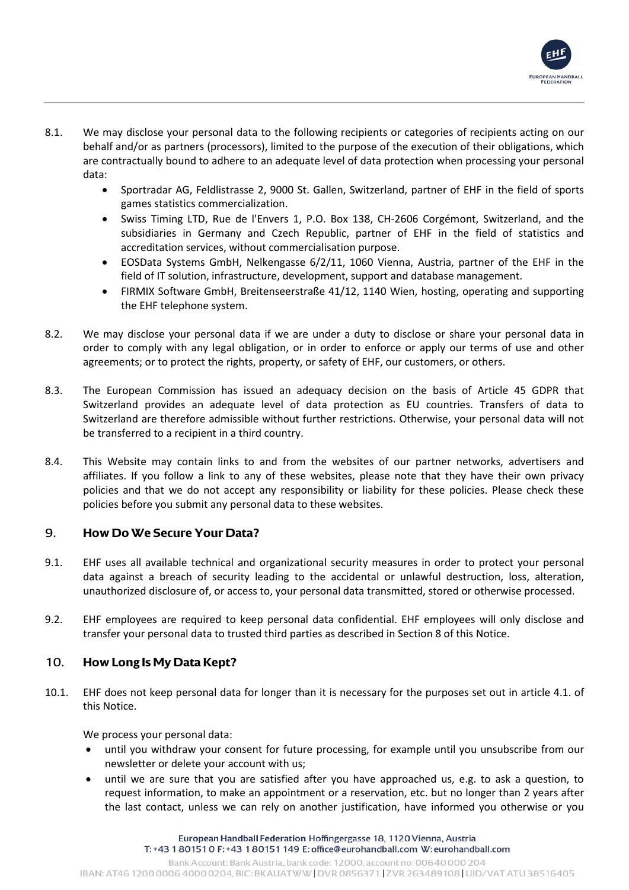

- 8.1. We may disclose your personal data to the following recipients or categories of recipients acting on our behalf and/or as partners (processors), limited to the purpose of the execution of their obligations, which are contractually bound to adhere to an adequate level of data protection when processing your personal data:
	- Sportradar AG, Feldlistrasse 2, 9000 St. Gallen, Switzerland, partner of EHF in the field of sports games statistics commercialization.
	- Swiss Timing LTD, Rue de l'Envers 1, P.O. Box 138, CH-2606 Corgémont, Switzerland, and the subsidiaries in Germany and Czech Republic, partner of EHF in the field of statistics and accreditation services, without commercialisation purpose.
	- EOSData Systems GmbH, Nelkengasse 6/2/11, 1060 Vienna, Austria, partner of the EHF in the field of IT solution, infrastructure, development, support and database management.
	- FIRMIX Software GmbH, Breitenseerstraße 41/12, 1140 Wien, hosting, operating and supporting the EHF telephone system.
- 8.2. We may disclose your personal data if we are under a duty to disclose or share your personal data in order to comply with any legal obligation, or in order to enforce or apply our terms of use and other agreements; or to protect the rights, property, or safety of EHF, our customers, or others.
- 8.3. The European Commission has issued an adequacy decision on the basis of Article 45 GDPR that Switzerland provides an adequate level of data protection as EU countries. Transfers of data to Switzerland are therefore admissible without further restrictions. Otherwise, your personal data will not be transferred to a recipient in a third country.
- 8.4. This Website may contain links to and from the websites of our partner networks, advertisers and affiliates. If you follow a link to any of these websites, please note that they have their own privacy policies and that we do not accept any responsibility or liability for these policies. Please check these policies before you submit any personal data to these websites.

# 9. **How Do We Secure Your Data?**

- 9.1. EHF uses all available technical and organizational security measures in order to protect your personal data against a breach of security leading to the accidental or unlawful destruction, loss, alteration, unauthorized disclosure of, or access to, your personal data transmitted, stored or otherwise processed.
- 9.2. EHF employees are required to keep personal data confidential. EHF employees will only disclose and transfer your personal data to trusted third parties as described in Section 8 of this Notice.

# 10. **How Long Is My Data Kept?**

10.1. EHF does not keep personal data for longer than it is necessary for the purposes set out in article 4.1. of this Notice.

We process your personal data:

- until you withdraw your consent for future processing, for example until you unsubscribe from our newsletter or delete your account with us;
- until we are sure that you are satisfied after you have approached us, e.g. to ask a question, to request information, to make an appointment or a reservation, etc. but no longer than 2 years after the last contact, unless we can rely on another justification, have informed you otherwise or you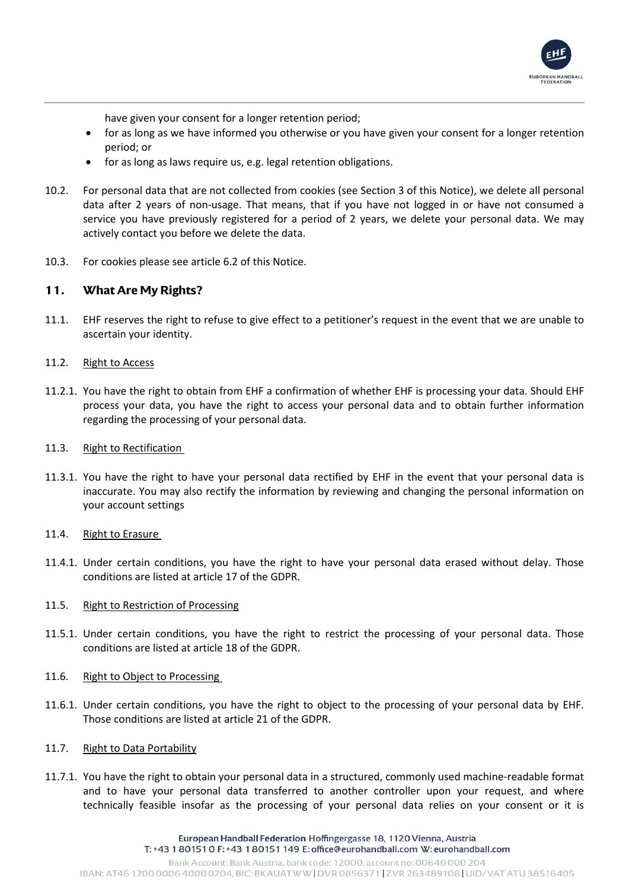

have given your consent for a longer retention period;

- for as long as we have informed you otherwise or you have given your consent for a longer retention period; or
- for as long as laws require us, e.g. legal retention obligations.
- 10.2. For personal data that are not collected from cookies (see Section 3 of this Notice), we delete all personal data after 2 years of non-usage. That means, that if you have not logged in or have not consumed a service you have previously registered for a period of 2 years, we delete your personal data. We may actively contact you before we delete the data.
- 10.3. For cookies please see article 6.2 of this Notice.

## **11. What Are My Rights?**

11.1. EHF reserves the right to refuse to give effect to a petitioner's request in the event that we are unable to ascertain your identity.

#### 11.2. Right to Access

- 11.2.1. You have the right to obtain from EHF a confirmation of whether EHF is processing your data. Should EHF process your data, you have the right to access your personal data and to obtain further information regarding the processing of your personal data.
- 11.3. Right to Rectification
- 11.3.1. You have the right to have your personal data rectified by EHF in the event that your personal data is inaccurate. You may also rectify the information by reviewing and changing the personal information on your account settings
- 11.4. Right to Erasure
- 11.4.1. Under certain conditions, you have the right to have your personal data erased without delay. Those conditions are listed at article 17 of the GDPR.

## 11.5. Right to Restriction of Processing

- 11.5.1. Under certain conditions, you have the right to restrict the processing of your personal data. Those conditions are listed at article 18 of the GDPR.
- 11.6. Right to Object to Processing
- 11.6.1. Under certain conditions, you have the right to object to the processing of your personal data by EHF. Those conditions are listed at article 21 of the GDPR.
- 11.7. Right to Data Portability
- 11.7.1. You have the right to obtain your personal data in a structured, commonly used machine-readable format and to have your personal data transferred to another controller upon your request, and where technically feasible insofar as the processing of your personal data relies on your consent or it is